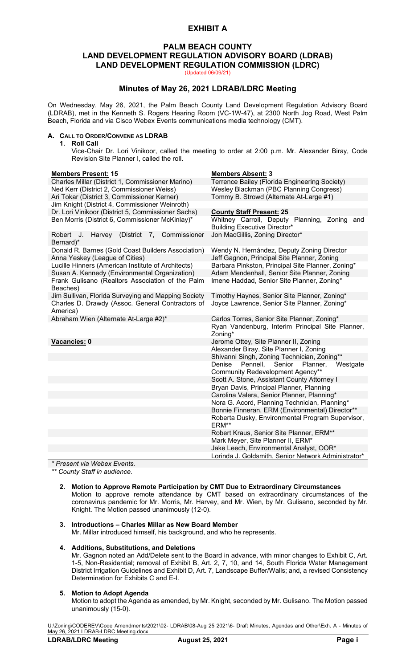# **EXHIBIT A**

# **PALM BEACH COUNTY LAND DEVELOPMENT REGULATION ADVISORY BOARD (LDRAB) LAND DEVELOPMENT REGULATION COMMISSION (LDRC)**

(Updated 06/09/21)

# **Minutes of May 26, 2021 LDRAB/LDRC Meeting**

On Wednesday, May 26, 2021, the Palm Beach County Land Development Regulation Advisory Board (LDRAB), met in the Kenneth S. Rogers Hearing Room (VC-1W-47), at 2300 North Jog Road, West Palm Beach, Florida and via Cisco Webex Events communications media technology (CMT).

#### **A. CALL TO ORDER/CONVENE AS LDRAB**

**1. Roll Call**

Vice-Chair Dr. Lori Vinikoor, called the meeting to order at 2:00 p.m. Mr. Alexander Biray, Code Revision Site Planner I, called the roll.

#### **Members Present: 15 Members Absent: 3**

| <u>IIIU 1110019 1 1000111.</u>                      | ייוויטראר טוטאוויטווי                               |
|-----------------------------------------------------|-----------------------------------------------------|
| Charles Millar (District 1, Commissioner Marino)    | Terrence Bailey (Florida Engineering Society)       |
| Ned Kerr (District 2, Commissioner Weiss)           | Wesley Blackman (PBC Planning Congress)             |
| Ari Tokar (District 3, Commissioner Kerner)         | Tommy B. Strowd (Alternate At-Large #1)             |
| Jim Knight (District 4, Commissioner Weinroth)      |                                                     |
| Dr. Lori Vinikoor (District 5, Commissioner Sachs)  | <b>County Staff Present: 25</b>                     |
| Ben Morris (District 6, Commissioner McKinlay)*     | Whitney Carroll, Deputy Planning, Zoning and        |
|                                                     | <b>Building Executive Director*</b>                 |
| Harvey (District 7, Commissioner<br>Robert J.       | Jon MacGillis, Zoning Director*                     |
| Bernard)*                                           |                                                     |
| Donald R. Barnes (Gold Coast Builders Association)  | Wendy N. Hernández, Deputy Zoning Director          |
| Anna Yeskey (League of Cities)                      | Jeff Gagnon, Principal Site Planner, Zoning         |
| Lucille Hinners (American Institute of Architects)  | Barbara Pinkston, Principal Site Planner, Zoning*   |
| Susan A. Kennedy (Environmental Organization)       | Adam Mendenhall, Senior Site Planner, Zoning        |
| Frank Gulisano (Realtors Association of the Palm    | Imene Haddad, Senior Site Planner, Zoning*          |
| Beaches)                                            |                                                     |
| Jim Sullivan, Florida Surveying and Mapping Society | Timothy Haynes, Senior Site Planner, Zoning*        |
| Charles D. Drawdy (Assoc. General Contractors of    | Joyce Lawrence, Senior Site Planner, Zoning*        |
| America)                                            |                                                     |
| Abraham Wien (Alternate At-Large #2)*               | Carlos Torres, Senior Site Planner, Zoning*         |
|                                                     | Ryan Vandenburg, Interim Principal Site Planner,    |
|                                                     | Zoning*                                             |
| Vacancies: 0                                        | Jerome Ottey, Site Planner II, Zoning               |
|                                                     | Alexander Biray, Site Planner I, Zoning             |
|                                                     | Shivanni Singh, Zoning Technician, Zoning**         |
|                                                     | Pennell, Senior Planner,<br>Westgate<br>Denise      |
|                                                     | Community Redevelopment Agency**                    |
|                                                     | Scott A. Stone, Assistant County Attorney I         |
|                                                     | Bryan Davis, Principal Planner, Planning            |
|                                                     | Carolina Valera, Senior Planner, Planning*          |
|                                                     | Nora G. Acord, Planning Technician, Planning*       |
|                                                     | Bonnie Finneran, ERM (Environmental) Director**     |
|                                                     | Roberta Dusky, Environmental Program Supervisor,    |
|                                                     | ERM**                                               |
|                                                     | Robert Kraus, Senior Site Planner, ERM**            |
|                                                     | Mark Meyer, Site Planner II, ERM*                   |
|                                                     | Jake Leech, Environmental Analyst, OOR*             |
|                                                     | Lorinda J. Goldsmith, Senior Network Administrator* |

*\* Present via Webex Events.*

*\*\* County Staff in audience.*

#### **2. Motion to Approve Remote Participation by CMT Due to Extraordinary Circumstances** Motion to approve remote attendance by CMT based on extraordinary circumstances of the coronavirus pandemic for Mr. Morris, Mr. Harvey, and Mr. Wien, by Mr. Gulisano, seconded by Mr. Knight. The Motion passed unanimously (12-0).

## **3. Introductions – Charles Millar as New Board Member**

Mr. Millar introduced himself, his background, and who he represents.

### **4. Additions, Substitutions, and Deletions**

Mr. Gagnon noted an Add/Delete sent to the Board in advance, with minor changes to Exhibit C, Art. 1-5, Non-Residential; removal of Exhibit B, Art. 2, 7, 10, and 14, South Florida Water Management District Irrigation Guidelines and Exhibit D, Art. 7, Landscape Buffer/Walls; and, a revised Consistency Determination for Exhibits C and E-I.

#### **5. Motion to Adopt Agenda**

Motion to adopt the Agenda as amended, by Mr. Knight, seconded by Mr. Gulisano. The Motion passed unanimously (15-0).

U:\Zoning\CODEREV\Code Amendments\2021\02- LDRAB\08-Aug 25 2021\6- Draft Minutes, Agendas and Other\Exh. A - Minutes of May 26, 2021 LDRAB-LDRC Meeting.docx